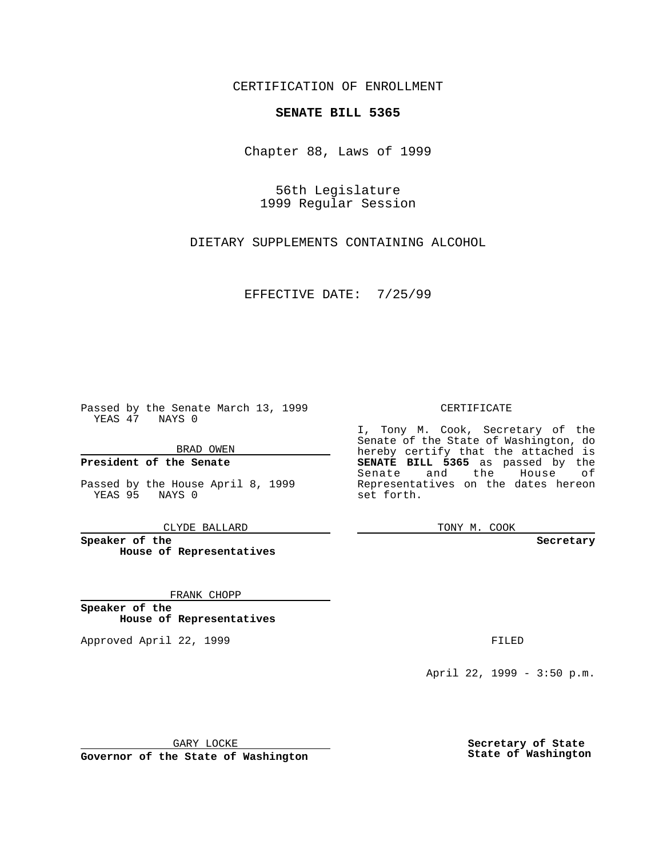CERTIFICATION OF ENROLLMENT

# **SENATE BILL 5365**

Chapter 88, Laws of 1999

56th Legislature 1999 Regular Session

DIETARY SUPPLEMENTS CONTAINING ALCOHOL

EFFECTIVE DATE: 7/25/99

Passed by the Senate March 13, 1999 YEAS 47 NAYS 0

BRAD OWEN

**President of the Senate**

Passed by the House April 8, 1999 YEAS 95 NAYS 0

CLYDE BALLARD

**Speaker of the House of Representatives**

FRANK CHOPP

**Speaker of the House of Representatives**

Approved April 22, 1999 **FILED** 

### CERTIFICATE

I, Tony M. Cook, Secretary of the Senate of the State of Washington, do hereby certify that the attached is **SENATE BILL 5365** as passed by the Senate and the House of Representatives on the dates hereon set forth.

TONY M. COOK

#### **Secretary**

April 22, 1999 - 3:50 p.m.

GARY LOCKE

**Governor of the State of Washington**

**Secretary of State State of Washington**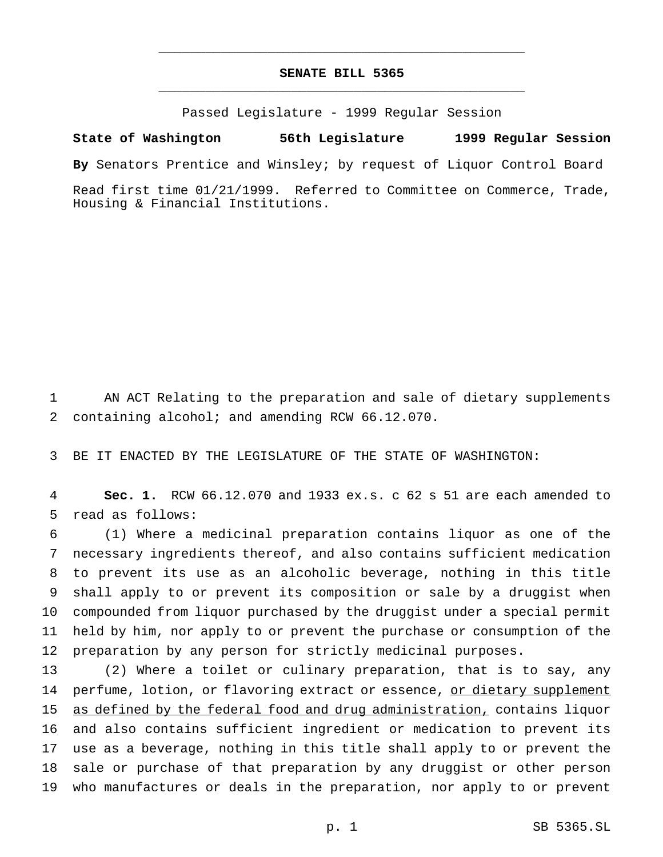## **SENATE BILL 5365** \_\_\_\_\_\_\_\_\_\_\_\_\_\_\_\_\_\_\_\_\_\_\_\_\_\_\_\_\_\_\_\_\_\_\_\_\_\_\_\_\_\_\_\_\_\_\_

\_\_\_\_\_\_\_\_\_\_\_\_\_\_\_\_\_\_\_\_\_\_\_\_\_\_\_\_\_\_\_\_\_\_\_\_\_\_\_\_\_\_\_\_\_\_\_

Passed Legislature - 1999 Regular Session

### **State of Washington 56th Legislature 1999 Regular Session**

**By** Senators Prentice and Winsley; by request of Liquor Control Board

Read first time 01/21/1999. Referred to Committee on Commerce, Trade, Housing & Financial Institutions.

 AN ACT Relating to the preparation and sale of dietary supplements containing alcohol; and amending RCW 66.12.070.

BE IT ENACTED BY THE LEGISLATURE OF THE STATE OF WASHINGTON:

 **Sec. 1.** RCW 66.12.070 and 1933 ex.s. c 62 s 51 are each amended to read as follows:

 (1) Where a medicinal preparation contains liquor as one of the necessary ingredients thereof, and also contains sufficient medication to prevent its use as an alcoholic beverage, nothing in this title shall apply to or prevent its composition or sale by a druggist when compounded from liquor purchased by the druggist under a special permit held by him, nor apply to or prevent the purchase or consumption of the preparation by any person for strictly medicinal purposes.

 (2) Where a toilet or culinary preparation, that is to say, any 14 perfume, lotion, or flavoring extract or essence, or dietary supplement as defined by the federal food and drug administration, contains liquor and also contains sufficient ingredient or medication to prevent its use as a beverage, nothing in this title shall apply to or prevent the sale or purchase of that preparation by any druggist or other person who manufactures or deals in the preparation, nor apply to or prevent